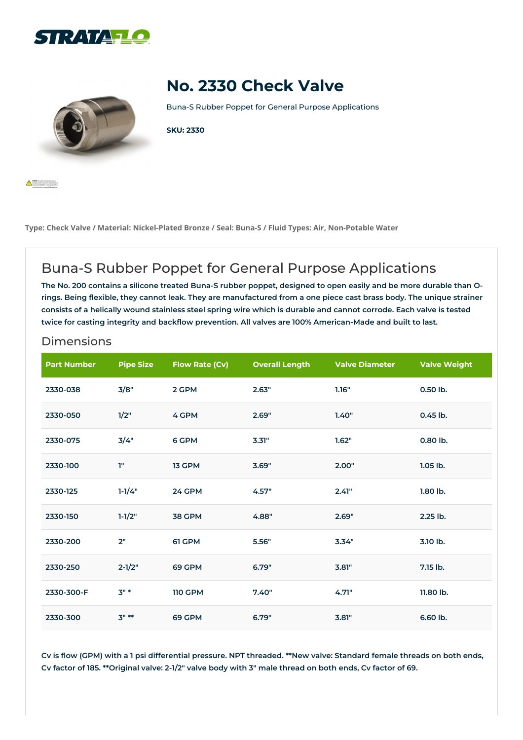



**A MARK** Topolo

# **No. 2330 Check Valve**

Buna-S Rubber Poppet for General Purpose Applications

#### **SKU: 2330**

**Type: Check Valve / Material: Nickel-Plated Bronze / Seal: Buna-S / Fluid Types: Air, Non-Potable Water**

## Buna-S Rubber Poppet for General Purpose Applications

The No. 200 contains a silicone treated Buna-S rubber poppet, designed to open easily and be more durable than Orings. Being flexible, they cannot leak. They are manufactured from a one piece cast brass body. The unique strainer consists of a helically wound stainless steel spring wire which is durable and cannot corrode. Each valve is tested **twice for casting integrity and backflow prevention. All valves are 100% American-Made and built to last.**

#### Dimensions

| <b>Part Number</b> | <b>Pipe Size</b> | Flow Rate (Cv) | <b>Overall Length</b> | <b>Valve Diameter</b> | <b>Valve Weight</b> |
|--------------------|------------------|----------------|-----------------------|-----------------------|---------------------|
| 2330-038           | 3/8"             | 2 GPM          | 2.63"                 | 1.16"                 | 0.50 lb.            |
| 2330-050           | 1/2"             | 4 GPM          | 2.69"                 | 1.40"                 | 0.45 lb.            |
| 2330-075           | 3/4"             | 6 GPM          | 3.31"                 | 1.62"                 | 0.80 lb.            |
| 2330-100           | T.               | 13 GPM         | 3.69"                 | 2.00"                 | 1.05 lb.            |
| 2330-125           | $1 - 1/4"$       | 24 GPM         | 4.57"                 | 2.41"                 | 1.80 lb.            |
| 2330-150           | $1 - 1/2"$       | <b>38 GPM</b>  | 4.88"                 | 2.69"                 | 2.25 lb.            |
| 2330-200           | 2"               | 61 GPM         | 5.56"                 | 3.34"                 | 3.10 lb.            |
| 2330-250           | $2 - 1/2"$       | 69 GPM         | 6.79"                 | 3.81"                 | 7.15 lb.            |
| 2330-300-F         | $3" *$           | <b>110 GPM</b> | 7.40"                 | 4.71"                 | 11.80 lb.           |
| 2330-300           | $3" **$          | 69 GPM         | 6.79"                 | 3.81"                 | 6.60 lb.            |

Cv is flow (GPM) with a 1 psi differential pressure. NPT threaded. \*\*New valve: Standard female threads on both ends, Cv factor of 185. \*\* Original valve: 2-1/2" valve body with 3" male thread on both ends, Cv factor of 69.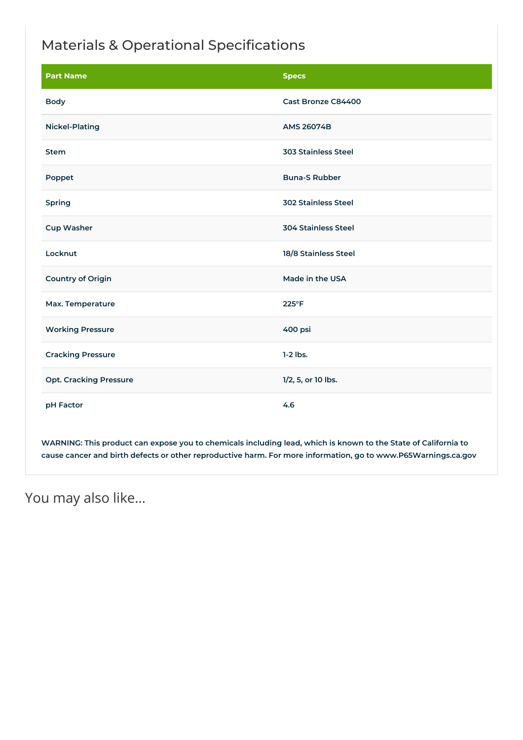## Materials & Operational Specifications

| <b>Part Name</b>              | <b>Specs</b>               |
|-------------------------------|----------------------------|
| <b>Body</b>                   | Cast Bronze C84400         |
| <b>Nickel-Plating</b>         | <b>AMS 26074B</b>          |
| <b>Stem</b>                   | <b>303 Stainless Steel</b> |
| Poppet                        | <b>Buna-S Rubber</b>       |
| Spring                        | <b>302 Stainless Steel</b> |
| <b>Cup Washer</b>             | <b>304 Stainless Steel</b> |
| Locknut                       | 18/8 Stainless Steel       |
| <b>Country of Origin</b>      | Made in the USA            |
| Max. Temperature              | 225°F                      |
| <b>Working Pressure</b>       | 400 psi                    |
| <b>Cracking Pressure</b>      | $1-2$ lbs.                 |
| <b>Opt. Cracking Pressure</b> | 1/2, 5, or 10 lbs.         |
| pH Factor                     | 4.6                        |

WARNING: This product can expose you to chemicals including lead, which is known to the State of California to **cause cancer and birth defects or other reproductive harm. For more information, go to www.P65Warnings.ca.gov**

```
You may also like…
```